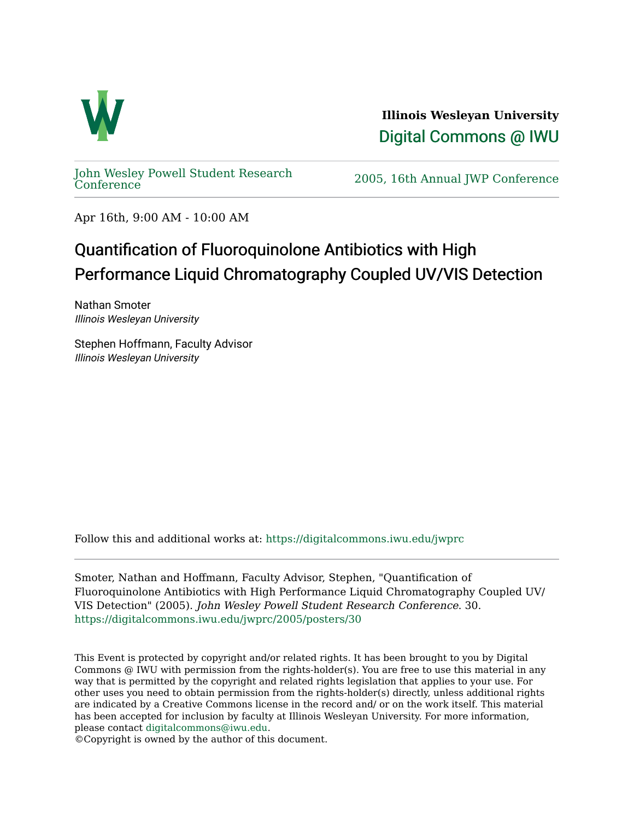

**Illinois Wesleyan University**  [Digital Commons @ IWU](https://digitalcommons.iwu.edu/) 

[John Wesley Powell Student Research](https://digitalcommons.iwu.edu/jwprc) 

2005, 16th Annual JWP [Conference](https://digitalcommons.iwu.edu/jwprc)

Apr 16th, 9:00 AM - 10:00 AM

## Quantification of Fluoroquinolone Antibiotics with High Performance Liquid Chromatography Coupled UV/VIS Detection

Nathan Smoter Illinois Wesleyan University

Stephen Hoffmann, Faculty Advisor Illinois Wesleyan University

Follow this and additional works at: [https://digitalcommons.iwu.edu/jwprc](https://digitalcommons.iwu.edu/jwprc?utm_source=digitalcommons.iwu.edu%2Fjwprc%2F2005%2Fposters%2F30&utm_medium=PDF&utm_campaign=PDFCoverPages) 

Smoter, Nathan and Hoffmann, Faculty Advisor, Stephen, "Quantification of Fluoroquinolone Antibiotics with High Performance Liquid Chromatography Coupled UV/ VIS Detection" (2005). John Wesley Powell Student Research Conference. 30. [https://digitalcommons.iwu.edu/jwprc/2005/posters/30](https://digitalcommons.iwu.edu/jwprc/2005/posters/30?utm_source=digitalcommons.iwu.edu%2Fjwprc%2F2005%2Fposters%2F30&utm_medium=PDF&utm_campaign=PDFCoverPages)

This Event is protected by copyright and/or related rights. It has been brought to you by Digital Commons @ IWU with permission from the rights-holder(s). You are free to use this material in any way that is permitted by the copyright and related rights legislation that applies to your use. For other uses you need to obtain permission from the rights-holder(s) directly, unless additional rights are indicated by a Creative Commons license in the record and/ or on the work itself. This material has been accepted for inclusion by faculty at Illinois Wesleyan University. For more information, please contact [digitalcommons@iwu.edu.](mailto:digitalcommons@iwu.edu)

©Copyright is owned by the author of this document.